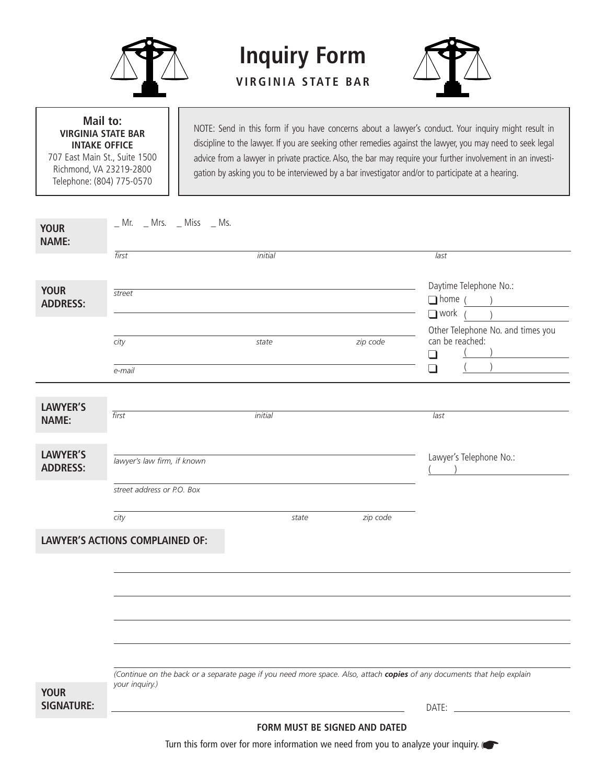

## **Mail to: VIRGINIA STATE BAR INTAKE OFFICE**

707 East Main St., Suite 1500 Richmond, VA 23219-2800 Telephone: (804) 775-0570

NOTE: Send in this form if you have concerns about a lawyer's conduct. Your inquiry might result in discipline to the lawyer. If you are seeking other remedies against the lawyer, you may need to seek legal advice from a lawyer in private practice. Also, the bar may require your further involvement in an investigation by asking you to be interviewed by a bar investigator and/or to participate at a hearing.

| <b>YOUR</b><br><b>NAME:</b>        | _ Mr. _ Mrs. _ Miss _ Ms.              |         |          |                                                                                                                         |  |  |
|------------------------------------|----------------------------------------|---------|----------|-------------------------------------------------------------------------------------------------------------------------|--|--|
|                                    | first                                  | initial |          | last                                                                                                                    |  |  |
| <b>YOUR</b><br><b>ADDRESS:</b>     | street                                 |         |          | Daytime Telephone No.:<br>$\Box$ home (<br>$\overline{\phantom{a}}$<br>$\Box$ work                                      |  |  |
|                                    | city<br>e-mail                         | state   | zip code | Other Telephone No. and times you<br>can be reached:<br>$\Box$<br>$\Box$                                                |  |  |
|                                    |                                        |         |          |                                                                                                                         |  |  |
| <b>LAWYER'S</b><br><b>NAME:</b>    | first                                  | initial |          | last                                                                                                                    |  |  |
| <b>LAWYER'S</b><br><b>ADDRESS:</b> | lawyer's law firm, if known            |         |          | Lawyer's Telephone No.:                                                                                                 |  |  |
|                                    | street address or P.O. Box             |         |          |                                                                                                                         |  |  |
|                                    | city                                   | state   | zip code |                                                                                                                         |  |  |
|                                    | <b>LAWYER'S ACTIONS COMPLAINED OF:</b> |         |          |                                                                                                                         |  |  |
|                                    |                                        |         |          |                                                                                                                         |  |  |
|                                    |                                        |         |          |                                                                                                                         |  |  |
|                                    |                                        |         |          |                                                                                                                         |  |  |
|                                    |                                        |         |          |                                                                                                                         |  |  |
|                                    |                                        |         |          |                                                                                                                         |  |  |
|                                    |                                        |         |          |                                                                                                                         |  |  |
|                                    |                                        |         |          | (Continue on the back or a separate page if you need more space. Also, attach copies of any documents that help explain |  |  |
| <b>YOUR</b><br><b>SIGNATURE:</b>   | your inquiry.)                         |         |          |                                                                                                                         |  |  |
| FORM MUST BE SIGNED AND DATED      |                                        |         |          |                                                                                                                         |  |  |

**Inquiry Form**

**V I RGINI A S TAT E BA R**

Turn this form over for more information we need from you to analyze your inquiry.